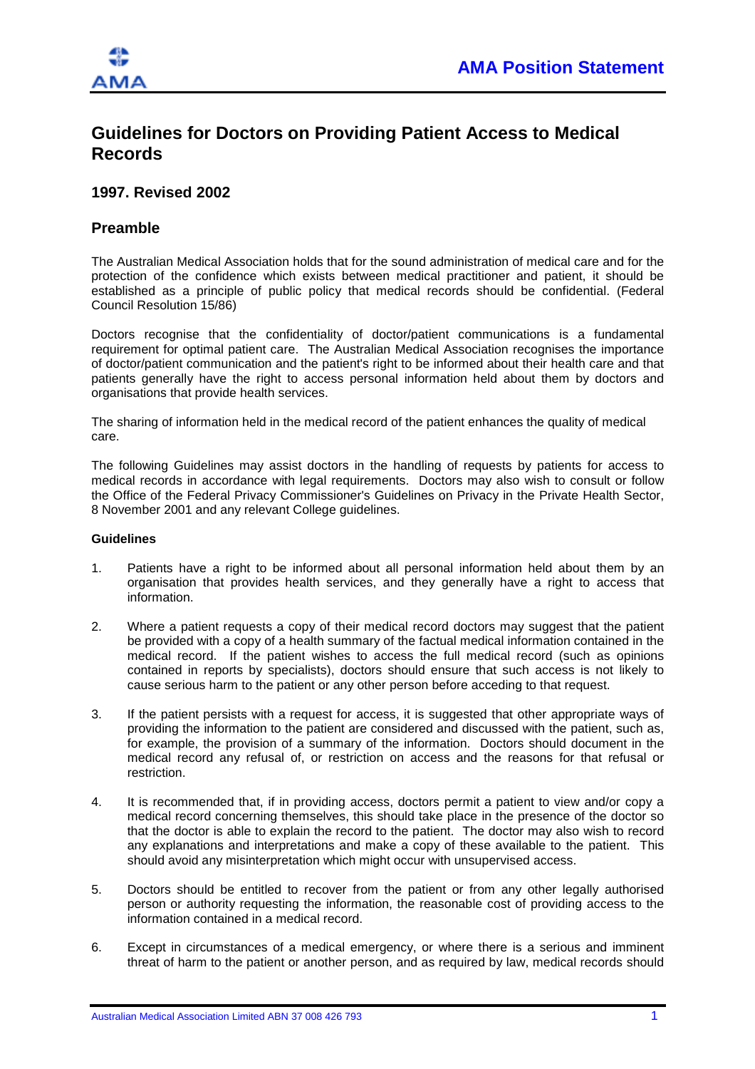

## **Guidelines for Doctors on Providing Patient Access to Medical Records**

## **1997. Revised 2002**

## **Preamble**

The Australian Medical Association holds that for the sound administration of medical care and for the protection of the confidence which exists between medical practitioner and patient, it should be established as a principle of public policy that medical records should be confidential. (Federal Council Resolution 15/86)

Doctors recognise that the confidentiality of doctor/patient communications is a fundamental requirement for optimal patient care. The Australian Medical Association recognises the importance of doctor/patient communication and the patient's right to be informed about their health care and that patients generally have the right to access personal information held about them by doctors and organisations that provide health services.

The sharing of information held in the medical record of the patient enhances the quality of medical care.

The following Guidelines may assist doctors in the handling of requests by patients for access to medical records in accordance with legal requirements. Doctors may also wish to consult or follow the Office of the Federal Privacy Commissioner's Guidelines on Privacy in the Private Health Sector, 8 November 2001 and any relevant College guidelines.

## **Guidelines**

- 1. Patients have a right to be informed about all personal information held about them by an organisation that provides health services, and they generally have a right to access that information.
- 2. Where a patient requests a copy of their medical record doctors may suggest that the patient be provided with a copy of a health summary of the factual medical information contained in the medical record. If the patient wishes to access the full medical record (such as opinions contained in reports by specialists), doctors should ensure that such access is not likely to cause serious harm to the patient or any other person before acceding to that request.
- 3. If the patient persists with a request for access, it is suggested that other appropriate ways of providing the information to the patient are considered and discussed with the patient, such as, for example, the provision of a summary of the information. Doctors should document in the medical record any refusal of, or restriction on access and the reasons for that refusal or restriction.
- 4. It is recommended that, if in providing access, doctors permit a patient to view and/or copy a medical record concerning themselves, this should take place in the presence of the doctor so that the doctor is able to explain the record to the patient. The doctor may also wish to record any explanations and interpretations and make a copy of these available to the patient. This should avoid any misinterpretation which might occur with unsupervised access.
- 5. Doctors should be entitled to recover from the patient or from any other legally authorised person or authority requesting the information, the reasonable cost of providing access to the information contained in a medical record.
- 6. Except in circumstances of a medical emergency, or where there is a serious and imminent threat of harm to the patient or another person, and as required by law, medical records should